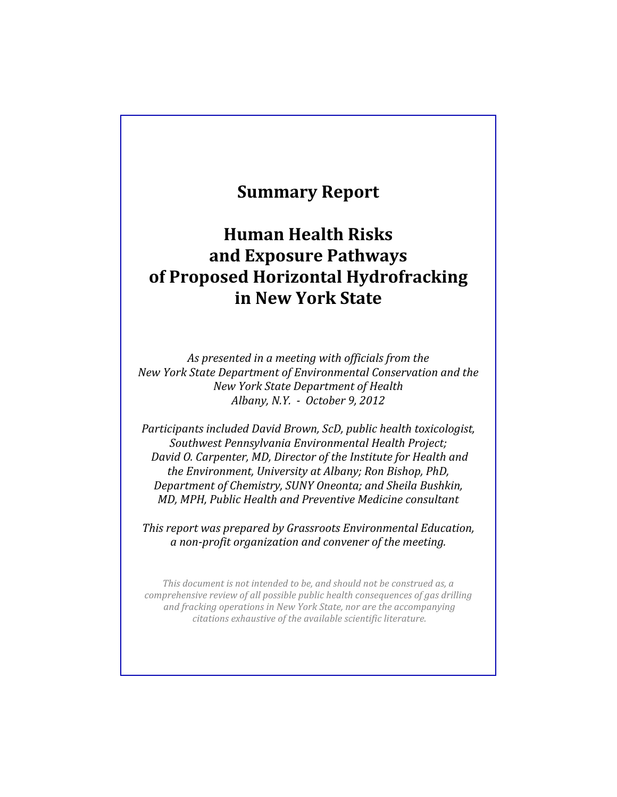# **Summary!Report**

# **Human!Health!Risks! and!Exposure!Pathways! of Proposed Horizontal Hydrofracking in!New!York!State**

As presented in a meeting with officials from the *New York State Department of Environmental Conservation and the New#York#State#Department#of#Health Albany, N.Y. - October 9, 2012* 

*Participants included David Brown, ScD, public health toxicologist, Southwest#Pennsylvania#Environmental#Health#Project; David O. Carpenter, MD, Director of the Institute for Health and the Environment, University at Albany; Ron Bishop, PhD, Department of Chemistry, SUNY Oneonta; and Sheila Bushkin, MD, MPH, Public Health and Preventive Medicine consultant* 

*This report was prepared by Grassroots Environmental Education,*  $a$  non-profit organization and convener of the meeting.

*This document is not intended to be, and should not be construed as, a comprehensive review of all possible public health consequences of gas drilling* and fracking operations in New York State, nor are the accompanying *citations exhaustive of the available scientific literature.*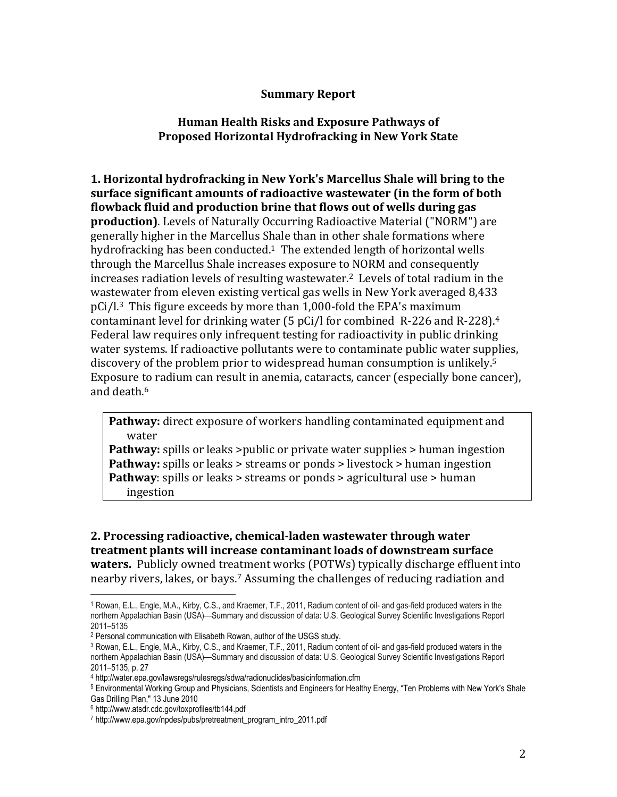#### **Summary!Report**

#### **Human Health Risks and Exposure Pathways of Proposed Horizontal Hydrofracking in New York State**

**1. Horizontal hydrofracking in New York's Marcellus Shale will bring to the** surface significant amounts of radioactive wastewater (in the form of both flowback fluid and production brine that flows out of wells during gas **production)**. Levels of Naturally Occurring Radioactive Material ("NORM") are generally higher in the Marcellus Shale than in other shale formations where hydrofracking has been conducted.<sup>1</sup> The extended length of horizontal wells through the Marcellus Shale increases exposure to NORM and consequently increases radiation levels of resulting wastewater.<sup>2</sup> Levels of total radium in the wastewater from eleven existing vertical gas wells in New York averaged 8,433  $pCi/l<sup>3</sup>$  This figure exceeds by more than 1,000-fold the EPA's maximum contaminant level for drinking water (5 pCi/l for combined  $\,$  R-226 and R-228).<sup>4</sup> Federal law requires only infrequent testing for radioactivity in public drinking water systems. If radioactive pollutants were to contaminate public water supplies, discovery of the problem prior to widespread human consumption is unlikely.<sup>5</sup> Exposure to radium can result in anemia, cataracts, cancer (especially bone cancer), and death.<sup>6</sup>

**Pathway:** direct exposure of workers handling contaminated equipment and water

**Pathway:** spills or leaks >public or private water supplies > human ingestion **Pathway:** spills or leaks > streams or ponds > livestock > human ingestion **Pathway**: spills or leaks > streams or ponds > agricultural use > human ingestion

**2. Processing radioactive, chemical-laden wastewater through water treatment plants will increase contaminant loads of downstream surface waters.** Publicly owned treatment works (POTWs) typically discharge effluent into nearby rivers, lakes, or bays.<sup>7</sup> Assuming the challenges of reducing radiation and

<sup>1</sup> Rowan, E.L., Engle, M.A., Kirby, C.S., and Kraemer, T.F., 2011, Radium content of oil- and gas-field produced waters in the northern Appalachian Basin (USA)—Summary and discussion of data: U.S. Geological Survey Scientific Investigations Report 2011–5135

<sup>2</sup> Personal communication with Elisabeth Rowan, author of the USGS study.

<sup>3</sup> Rowan, E.L., Engle, M.A., Kirby, C.S., and Kraemer, T.F., 2011, Radium content of oil- and gas-field produced waters in the northern Appalachian Basin (USA)—Summary and discussion of data: U.S. Geological Survey Scientific Investigations Report 2011–5135, p. 27

<sup>4</sup> http://water.epa.gov/lawsregs/rulesregs/sdwa/radionuclides/basicinformation.cfm

<sup>5</sup> Environmental Working Group and Physicians, Scientists and Engineers for Healthy Energy, "Ten Problems with New York's Shale Gas Drilling Plan," 13 June 2010<br><sup>6</sup> http://www.atsdr.cdc.gov/toxprofiles/tb144.pdf

<sup>7</sup> http://www.epa.gov/npdes/pubs/pretreatment\_program\_intro\_2011.pdf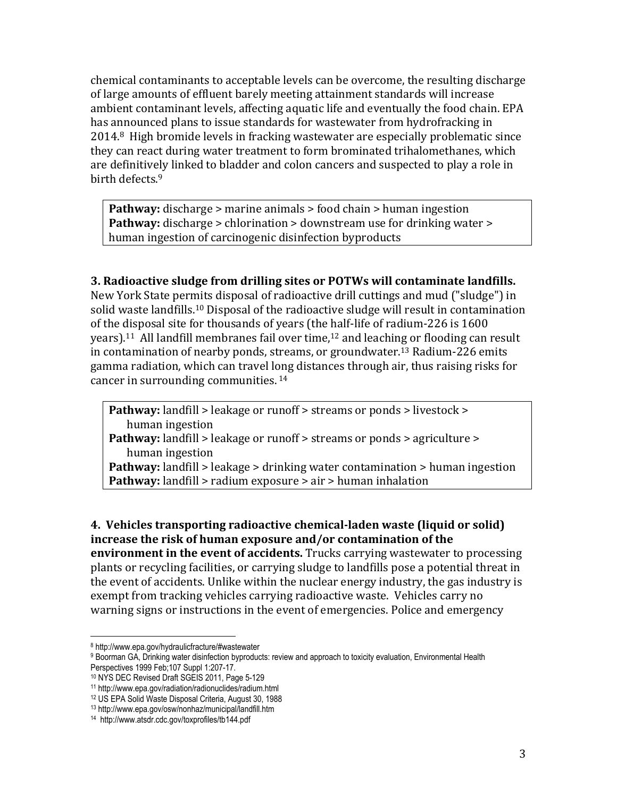chemical contaminants to acceptable levels can be overcome, the resulting discharge of large amounts of effluent barely meeting attainment standards will increase ambient contaminant levels, affecting aquatic life and eventually the food chain. EPA has announced plans to issue standards for wastewater from hydrofracking in 2014.8 High bromide levels in fracking wastewater are especially problematic since they can react during water treatment to form brominated trihalomethanes, which are definitively linked to bladder and colon cancers and suspected to play a role in birth defects.<sup>9</sup>

**Pathway:** discharge > marine animals > food chain > human ingestion **Pathway:** discharge > chlorination > downstream use for drinking water > human ingestion of carcinogenic disinfection byproducts

## **3. Radioactive sludge from drilling sites or POTWs will contaminate landfills.**

New York State permits disposal of radioactive drill cuttings and mud ("sludge") in solid waste landfills.<sup>10</sup> Disposal of the radioactive sludge will result in contamination of the disposal site for thousands of years (the half-life of radium-226 is 1600 years).<sup>11</sup> All landfill membranes fail over time,<sup>12</sup> and leaching or flooding can result in contamination of nearby ponds, streams, or groundwater.<sup>13</sup> Radium-226 emits gamma radiation, which can travel long distances through air, thus raising risks for cancer in surrounding communities.  $14$ 

**Pathway:** landfill > leakage or runoff > streams or ponds > livestock > human ingestion **Pathway:** landfill > leakage or runoff > streams or ponds > agriculture > human ingestion **Pathway:** landfill > leakage > drinking water contamination > human ingestion

**Pathway:** landfill > radium exposure > air > human inhalation

**4. Vehicles transporting radioactive chemical-laden waste (liquid or solid)** increase the risk of human exposure and/or contamination of the **environment in the event of accidents.** Trucks carrying wastewater to processing plants or recycling facilities, or carrying sludge to landfills pose a potential threat in the event of accidents. Unlike within the nuclear energy industry, the gas industry is exempt from tracking vehicles carrying radioactive waste. Vehicles carry no warning signs or instructions in the event of emergencies. Police and emergency

<sup>8</sup> http://www.epa.gov/hydraulicfracture/#wastewater

<sup>9</sup> Boorman GA, Drinking water disinfection byproducts: review and approach to toxicity evaluation, Environmental Health Perspectives 1999 Feb;107 Suppl 1:207-17.

<sup>10</sup> NYS DEC Revised Draft SGEIS 2011, Page 5-129

<sup>11</sup> http://www.epa.gov/radiation/radionuclides/radium.html

<sup>12</sup> US EPA Solid Waste Disposal Criteria, August 30, 1988

<sup>13</sup> http://www.epa.gov/osw/nonhaz/municipal/landfill.htm

<sup>14</sup> http://www.atsdr.cdc.gov/toxprofiles/tb144.pdf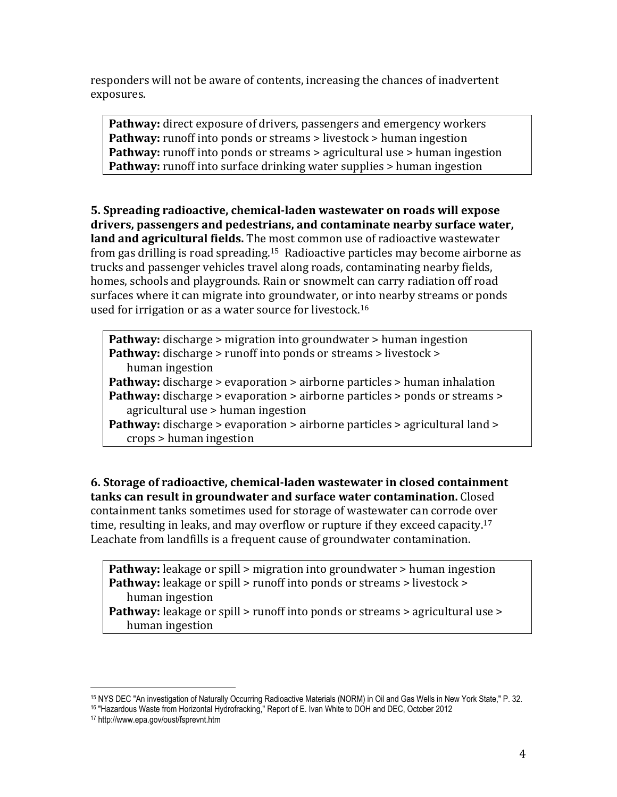responders will not be aware of contents, increasing the chances of inadvertent exposures.

Pathway: direct exposure of drivers, passengers and emergency workers **Pathway:** runoff into ponds or streams > livestock > human ingestion **Pathway:** runoff into ponds or streams > agricultural use > human ingestion **Pathway:** runoff into surface drinking water supplies > human ingestion

**5. Spreading radioactive, chemical-laden wastewater on roads will expose** drivers, passengers and pedestrians, and contaminate nearby surface water, **land and agricultural fields.** The most common use of radioactive wastewater from gas drilling is road spreading.<sup>15</sup> Radioactive particles may become airborne as trucks and passenger vehicles travel along roads, contaminating nearby fields, homes, schools and playgrounds. Rain or snowmelt can carry radiation off road surfaces where it can migrate into groundwater, or into nearby streams or ponds used for irrigation or as a water source for livestock.<sup>16</sup>

**Pathway:** discharge > migration into groundwater > human ingestion **Pathway:** discharge > runoff into ponds or streams > livestock > human ingestion **Pathway:** discharge > evaporation > airborne particles > human inhalation **Pathway:** discharge > evaporation > airborne particles > ponds or streams > agricultural use  $>$  human ingestion Pathway: discharge > evaporation > airborne particles > agricultural land > crops > human ingestion

**6. Storage of radioactive, chemical-laden wastewater in closed containment tanks can result in groundwater and surface water contamination.** Closed containment tanks sometimes used for storage of wastewater can corrode over time, resulting in leaks, and may overflow or rupture if they exceed capacity.<sup>17</sup> Leachate from landfills is a frequent cause of groundwater contamination.

**Pathway:** leakage or spill > migration into groundwater > human ingestion **Pathway:** leakage or spill > runoff into ponds or streams > livestock > human ingestion **Pathway:** leakage or spill > runoff into ponds or streams > agricultural use >

human ingestion

<sup>&</sup>lt;sup>15</sup> NYS DEC "An investigation of Naturally Occurring Radioactive Materials (NORM) in Oil and Gas Wells in New York State," P. 32.<br><sup>16</sup> "Hazardous Waste from Horizontal Hydrofracking," Report of E. Ivan White to DOH and DE

<sup>17</sup> http://www.epa.gov/oust/fsprevnt.htm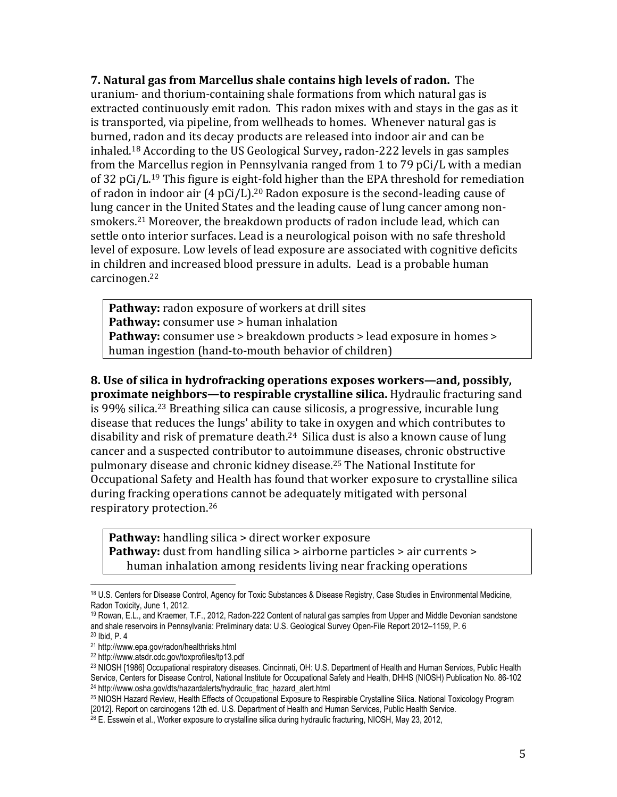**7. Natural gas from Marcellus shale contains high levels of radon.** The uranium- and thorium-containing shale formations from which natural gas is extracted continuously emit radon. This radon mixes with and stays in the gas as it is transported, via pipeline, from wellheads to homes. Whenever natural gas is burned, radon and its decay products are released into indoor air and can be inhaled.<sup>18</sup> According to the US Geological Survey, radon-222 levels in gas samples from the Marcellus region in Pennsylvania ranged from 1 to 79 pCi/L with a median of 32 pCi/L.<sup>19</sup> This figure is eight-fold higher than the EPA threshold for remediation of radon in indoor air (4 pCi/L).<sup>20</sup> Radon exposure is the second-leading cause of lung cancer in the United States and the leading cause of lung cancer among nonsmokers.<sup>21</sup> Moreover, the breakdown products of radon include lead, which can settle onto interior surfaces. Lead is a neurological poison with no safe threshold level of exposure. Low levels of lead exposure are associated with cognitive deficits in children and increased blood pressure in adults. Lead is a probable human carcinogen.22

Pathway: radon exposure of workers at drill sites **Pathway:** consumer use > human inhalation **Pathway:** consumer use > breakdown products > lead exposure in homes > human ingestion (hand-to-mouth behavior of children)

8. Use of silica in hydrofracking operations exposes workers—and, possibly, **proximate neighbors—to respirable crystalline silica.** Hydraulic fracturing sand is 99% silica.<sup>23</sup> Breathing silica can cause silicosis, a progressive, incurable lung disease that reduces the lungs' ability to take in oxygen and which contributes to disability and risk of premature death.<sup>24</sup> Silica dust is also a known cause of lung cancer and a suspected contributor to autoimmune diseases, chronic obstructive pulmonary disease and chronic kidney disease.<sup>25</sup> The National Institute for Occupational Safety and Health has found that worker exposure to crystalline silica during fracking operations cannot be adequately mitigated with personal respiratory protection.<sup>26</sup>

**Pathway:** handling silica > direct worker exposure **Pathway:** dust from handling silica > airborne particles > air currents > human inhalation among residents living near fracking operations

<sup>18</sup> U.S. Centers for Disease Control, Agency for Toxic Substances & Disease Registry, Case Studies in Environmental Medicine, Radon Toxicity, June 1, 2012.

<sup>&</sup>lt;sup>19</sup> Rowan, E.L., and Kraemer, T.F., 2012, Radon-222 Content of natural gas samples from Upper and Middle Devonian sandstone and shale reservoirs in Pennsylvania: Preliminary data: U.S. Geological Survey Open-File Report 2012–1159, P. 6

<sup>20</sup> Ibid, P. 4

<sup>21</sup> http://www.epa.gov/radon/healthrisks.html

<sup>22</sup> http://www.atsdr.cdc.gov/toxprofiles/tp13.pdf

<sup>23</sup> NIOSH [1986] Occupational respiratory diseases. Cincinnati, OH: U.S. Department of Health and Human Services, Public Health Service, Centers for Disease Control, National Institute for Occupational Safety and Health, DHHS (NIOSH) Publication No. 86-102 <sup>24</sup> http://www.osha.gov/dts/hazardalerts/hydraulic\_frac\_hazard\_alert.html

<sup>&</sup>lt;sup>25</sup> NIOSH Hazard Review, Health Effects of Occupational Exposure to Respirable Crystalline Silica. National Toxicology Program<br>[2012]. Report on carcinogens 12th ed. U.S. Department of Health and Human Services, Public He

 $^{26}$  E. Esswein et al., Worker exposure to crystalline silica during hydraulic fracturing, NIOSH, May 23, 2012,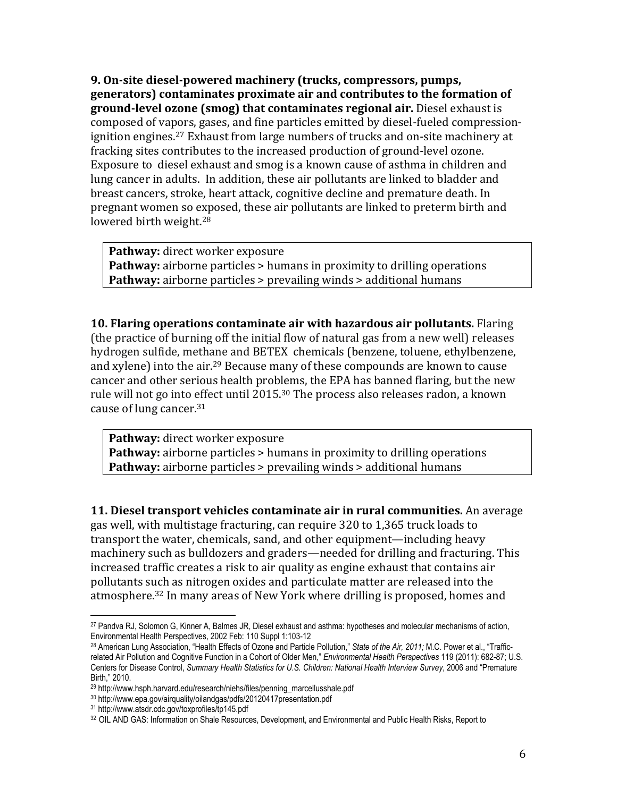**9. On-site diesel-powered machinery (trucks, compressors, pumps,** generators) contaminates proximate air and contributes to the formation of ground-level ozone (smog) that contaminates regional air. Diesel exhaust is composed of vapors, gases, and fine particles emitted by diesel-fueled compressionignition engines.<sup>27</sup> Exhaust from large numbers of trucks and on-site machinery at fracking sites contributes to the increased production of ground-level ozone. Exposure to diesel exhaust and smog is a known cause of asthma in children and lung cancer in adults. In addition, these air pollutants are linked to bladder and breast cancers, stroke, heart attack, cognitive decline and premature death. In pregnant women so exposed, these air pollutants are linked to preterm birth and lowered birth weight.<sup>28</sup>

Pathway: direct worker exposure **Pathway:** airborne particles > humans in proximity to drilling operations **Pathway:** airborne particles > prevailing winds > additional humans

**10. Flaring operations contaminate air with hazardous air pollutants.** Flaring (the practice of burning off the initial flow of natural gas from a new well) releases hydrogen sulfide, methane and BETEX chemicals (benzene, toluene, ethylbenzene, and xylene) into the air.<sup>29</sup> Because many of these compounds are known to cause cancer and other serious health problems, the EPA has banned flaring, but the new rule will not go into effect until 2015.<sup>30</sup> The process also releases radon, a known cause of lung cancer.<sup>31</sup>

Pathway: direct worker exposure **Pathway:** airborne particles > humans in proximity to drilling operations **Pathway:** airborne particles > prevailing winds > additional humans

**11. Diesel transport vehicles contaminate air in rural communities.** An average gas well, with multistage fracturing, can require 320 to 1,365 truck loads to transport the water, chemicals, sand, and other equipment—including heavy machinery such as bulldozers and graders—needed for drilling and fracturing. This increased traffic creates a risk to air quality as engine exhaust that contains air pollutants such as nitrogen oxides and particulate matter are released into the atmosphere.<sup>32</sup> In many areas of New York where drilling is proposed, homes and

<sup>&</sup>lt;sup>27</sup> Pandva RJ, Solomon G, Kinner A, Balmes JR, Diesel exhaust and asthma: hypotheses and molecular mechanisms of action,<br>Environmental Health Perspectives, 2002 Feb: 110 Suppl 1:103-12

<sup>&</sup>lt;sup>28</sup> American Lung Association, "Health Effects of Ozone and Particle Pollution," State of the Air, 2011; M.C. Power et al., "Trafficrelated Air Pollution and Cognitive Function in a Cohort of Older Men," *Environmental Health Perspectives* 119 (2011): 682-87; U.S. Centers for Disease Control, *Summary Health Statistics for U.S. Children: National Health Interview Survey*, 2006 and "Premature Birth," 2010.

<sup>&</sup>lt;sup>29</sup> http://www.hsph.harvard.edu/research/niehs/files/penning\_marcellusshale.pdf

<sup>30</sup> http://www.epa.gov/airquality/oilandgas/pdfs/20120417presentation.pdf

<sup>31</sup> http://www.atsdr.cdc.gov/toxprofiles/tp145.pdf

<sup>32</sup> OIL AND GAS: Information on Shale Resources, Development, and Environmental and Public Health Risks, Report to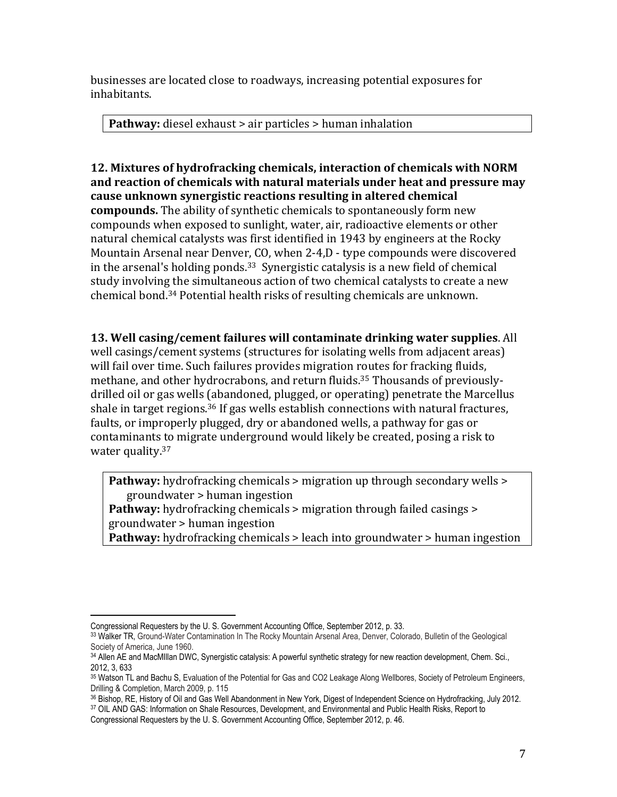businesses are located close to roadways, increasing potential exposures for inhabitants.!

**Pathway:** diesel exhaust > air particles > human inhalation

**12. Mixtures of hydrofracking chemicals, interaction of chemicals with NORM** and reaction of chemicals with natural materials under heat and pressure may **cause unknown synergistic reactions resulting in altered chemical compounds.** The ability of synthetic chemicals to spontaneously form new compounds when exposed to sunlight, water, air, radioactive elements or other natural chemical catalysts was first identified in 1943 by engineers at the Rocky Mountain Arsenal near Denver, CO, when 2-4,D - type compounds were discovered in the arsenal's holding ponds.<sup>33</sup> Synergistic catalysis is a new field of chemical study involving the simultaneous action of two chemical catalysts to create a new chemical bond.<sup>34</sup> Potential health risks of resulting chemicals are unknown.

**13. Well casing/cement failures will contaminate drinking water supplies.** All well casings/cement systems (structures for isolating wells from adjacent areas) will fail over time. Such failures provides migration routes for fracking fluids, methane, and other hydrocrabons, and return fluids.<sup>35</sup> Thousands of previouslydrilled oil or gas wells (abandoned, plugged, or operating) penetrate the Marcellus shale in target regions.<sup>36</sup> If gas wells establish connections with natural fractures, faults, or improperly plugged, dry or abandoned wells, a pathway for gas or contaminants to migrate underground would likely be created, posing a risk to water quality.<sup>37</sup>

**Pathway:** hydrofracking chemicals > migration up through secondary wells > groundwater!>!human!ingestion

**Pathway:** hydrofracking chemicals > migration through failed casings >  $groundwater$  > human ingestion

**Pathway:** hydrofracking chemicals > leach into groundwater > human ingestion

Congressional Requesters by the U. S. Government Accounting Office, September 2012, p. 33.

<sup>&</sup>lt;sup>33</sup> Walker TR, Ground-Water Contamination In The Rocky Mountain Arsenal Area, Denver, Colorado, Bulletin of the Geological<br>Society of America, June 1960.

<sup>34</sup> Allen AE and MacMIllan DWC, Synergistic catalysis: A powerful synthetic strategy for new reaction development, Chem. Sci., 2012, 3, 633

<sup>35</sup> Watson TL and Bachu S, Evaluation of the Potential for Gas and CO2 Leakage Along Wellbores, Society of Petroleum Engineers, Drilling & Completion, March 2009, p. 115

<sup>36</sup> Bishop, RE, History of Oil and Gas Well Abandonment in New York, Digest of Independent Science on Hydrofracking, July 2012. 37 OIL AND GAS: Information on Shale Resources, Development, and Environmental and Public Health Risks, Report to

Congressional Requesters by the U. S. Government Accounting Office, September 2012, p. 46.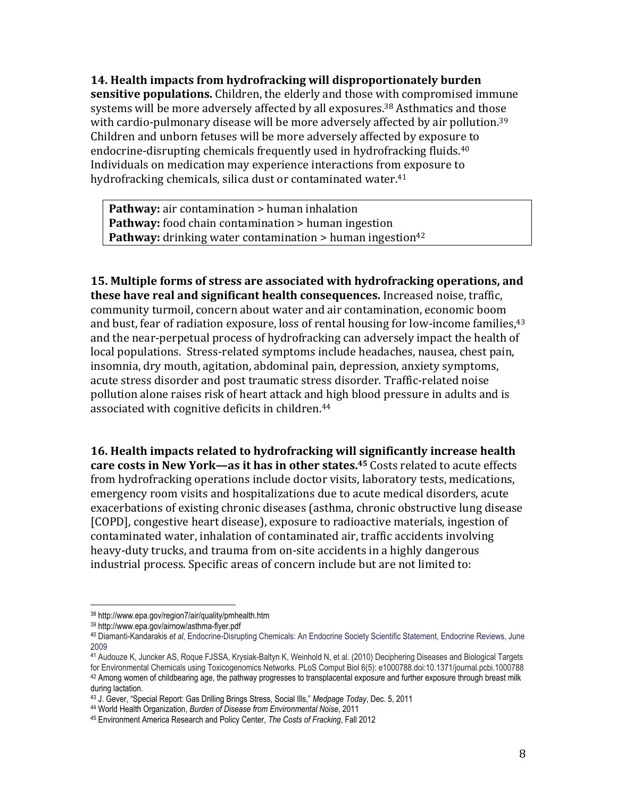**14. Health impacts from hydrofracking will disproportionately burden sensitive populations.** Children, the elderly and those with compromised immune systems will be more adversely affected by all exposures.<sup>38</sup> Asthmatics and those with cardio-pulmonary disease will be more adversely affected by air pollution.<sup>39</sup> Children and unborn fetuses will be more adversely affected by exposure to endocrine-disrupting chemicals frequently used in hydrofracking fluids.<sup>40</sup> Individuals on medication may experience interactions from exposure to hydrofracking chemicals, silica dust or contaminated water.<sup>41</sup>

**Pathway:** air contamination > human inhalation **Pathway:** food chain contamination > human ingestion **Pathway:** drinking water contamination > human ingestion<sup>42</sup>

**15. Multiple forms of stress are associated with hydrofracking operations, and these have real and significant health consequences.** Increased noise, traffic, community turmoil, concern about water and air contamination, economic boom and bust, fear of radiation exposure, loss of rental housing for low-income families, <sup>43</sup> and the near-perpetual process of hydrofracking can adversely impact the health of local populations. Stress-related symptoms include headaches, nausea, chest pain, insomnia, dry mouth, agitation, abdominal pain, depression, anxiety symptoms, acute stress disorder and post traumatic stress disorder. Traffic-related noise pollution alone raises risk of heart attack and high blood pressure in adults and is associated with cognitive deficits in children.<sup>44</sup>

**16. Health impacts related to hydrofracking will significantly increase health care costs in New York—as it has in other states.<sup>45</sup> Costs related to acute effects** from hydrofracking operations include doctor visits, laboratory tests, medications, emergency room visits and hospitalizations due to acute medical disorders, acute exacerbations of existing chronic diseases (asthma, chronic obstructive lung disease [COPD], congestive heart disease], exposure to radioactive materials, ingestion of contaminated water, inhalation of contaminated air, traffic accidents involving heavy-duty trucks, and trauma from on-site accidents in a highly dangerous industrial process. Specific areas of concern include but are not limited to:

<sup>!!!!!!!!!!!!!!!!!!!!!!!!!!!!!!!!!!!!!!!!!!!!!!!!!!!!!!!</sup> 38 http://www.epa.gov/region7/air/quality/pmhealth.htm

<sup>39</sup> http://www.epa.gov/airnow/asthma-flyer.pdf

<sup>40</sup> Diamanti-Kandarakis *et al*, Endocrine-Disrupting Chemicals: An Endocrine Society Scientific Statement, Endocrine Reviews, June 2009

<sup>41</sup> Audouze K, Juncker AS, Roque FJSSA, Krysiak-Baltyn K, Weinhold N, et al. (2010) Deciphering Diseases and Biological Targets for Environmental Chemicals using Toxicogenomics Networks. PLoS Comput Biol 6(5): e1000788.doi:10.1371/journal.pcbi.1000788  $42$  Among women of childbearing age, the pathway progresses to transplacental exposure and further exposure through breast milk during lactation.<br><sup>43</sup> J. Gever, "Special Report: Gas Drilling Brings Stress, Social Ills," Medpage Today, Dec. 5, 2011

<sup>&</sup>lt;sup>44</sup> World Health Organization, Burden of Disease from Environmental Noise, 2011<br><sup>45</sup> Environment America Research and Policy Center, The Costs of Fracking, Fall 2012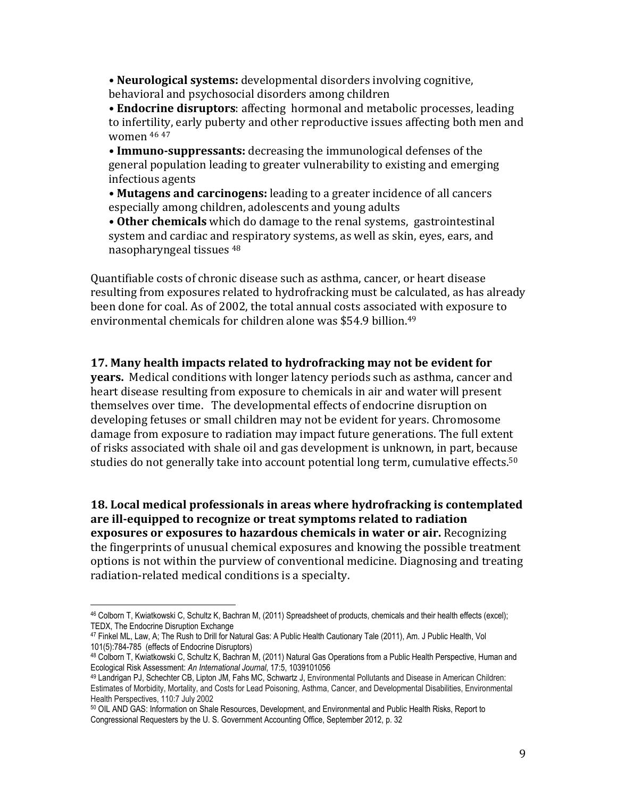• **Neurological systems:** developmental disorders involving cognitive, behavioral and psychosocial disorders among children

• **Endocrine disruptors**: affecting hormonal and metabolic processes, leading to infertility, early puberty and other reproductive issues affecting both men and women  $46 47$ 

• **Immuno-suppressants:** decreasing the immunological defenses of the general population leading to greater vulnerability to existing and emerging infectious!agents

• **Mutagens and carcinogens:** leading to a greater incidence of all cancers especially among children, adolescents and young adults

• Other chemicals which do damage to the renal systems, gastrointestinal system and cardiac and respiratory systems, as well as skin, eyes, ears, and nasopharyngeal tissues <sup>48</sup>

Quantifiable costs of chronic disease such as asthma, cancer, or heart disease resulting from exposures related to hydrofracking must be calculated, as has already been done for coal. As of 2002, the total annual costs associated with exposure to environmental chemicals for children alone was \$54.9 billion.<sup>49</sup>

## 17. Many health impacts related to hydrofracking may not be evident for

**years.** Medical conditions with longer latency periods such as asthma, cancer and heart disease resulting from exposure to chemicals in air and water will present themselves over time. The developmental effects of endocrine disruption on developing fetuses or small children may not be evident for years. Chromosome damage from exposure to radiation may impact future generations. The full extent of risks associated with shale oil and gas development is unknown, in part, because studies do not generally take into account potential long term, cumulative effects.<sup>50</sup>

**18. Local medical professionals in areas where hydrofracking is contemplated** are ill-equipped to recognize or treat symptoms related to radiation **exposures or exposures to hazardous chemicals in water or air.** Recognizing the fingerprints of unusual chemical exposures and knowing the possible treatment options is not within the purview of conventional medicine. Diagnosing and treating radiation-related medical conditions is a specialty.

<sup>46</sup> Colborn T, Kwiatkowski C, Schultz K, Bachran M, (2011) Spreadsheet of products, chemicals and their health effects (excel); TEDX, The Endocrine Disruption Exchange

<sup>47</sup> Finkel ML, Law, A; The Rush to Drill for Natural Gas: A Public Health Cautionary Tale (2011), Am. J Public Health, Vol 101(5):784-785 (effects of Endocrine Disruptors)

<sup>48</sup> Colborn T, Kwiatkowski C, Schultz K, Bachran M, (2011) Natural Gas Operations from a Public Health Perspective, Human and Ecological Risk Assessment: *An International Journal*, 17:5, 1039101056

<sup>49</sup> Landrigan PJ, Schechter CB, Lipton JM, Fahs MC, Schwartz J, Environmental Pollutants and Disease in American Children: Estimates of Morbidity, Mortality, and Costs for Lead Poisoning, Asthma, Cancer, and Developmental Disabilities, Environmental Health Perspectives, 110:7 July 2002

<sup>50</sup> OIL AND GAS: Information on Shale Resources, Development, and Environmental and Public Health Risks, Report to Congressional Requesters by the U. S. Government Accounting Office, September 2012, p. 32